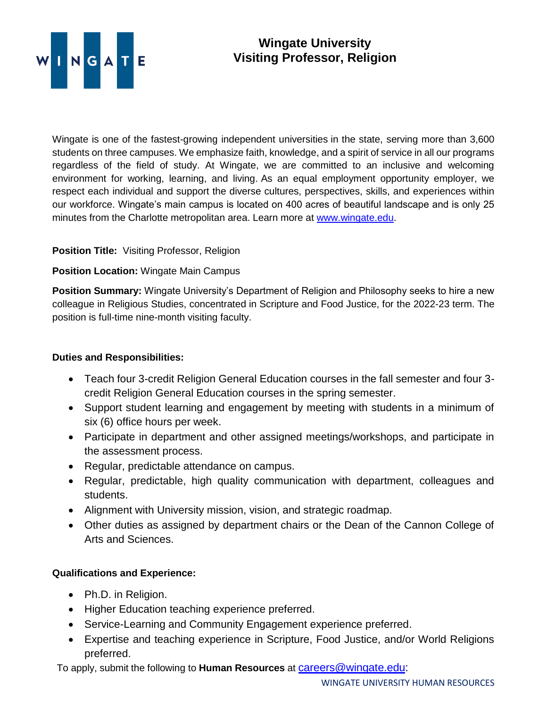

# **Wingate University Visiting Professor, Religion**

Wingate is one of the fastest-growing independent universities in the state, serving more than 3,600 students on three campuses. We emphasize faith, knowledge, and a spirit of service in all our programs regardless of the field of study. At Wingate, we are committed to an inclusive and welcoming environment for working, learning, and living. As an equal employment opportunity employer, we respect each individual and support the diverse cultures, perspectives, skills, and experiences within our workforce. Wingate's main campus is located on 400 acres of beautiful landscape and is only 25 minutes from the Charlotte metropolitan area. Learn more at [www.wingate.edu.](http://www.wingate/edu)

## **Position Title:** Visiting Professor, Religion

#### **Position Location:** Wingate Main Campus

**Position Summary:** Wingate University's Department of Religion and Philosophy seeks to hire a new colleague in Religious Studies, concentrated in Scripture and Food Justice, for the 2022-23 term. The position is full-time nine-month visiting faculty.

### **Duties and Responsibilities:**

- Teach four 3-credit Religion General Education courses in the fall semester and four 3 credit Religion General Education courses in the spring semester.
- Support student learning and engagement by meeting with students in a minimum of six (6) office hours per week.
- Participate in department and other assigned meetings/workshops, and participate in the assessment process.
- Regular, predictable attendance on campus.
- Regular, predictable, high quality communication with department, colleagues and students.
- Alignment with University mission, vision, and strategic roadmap.
- Other duties as assigned by department chairs or the Dean of the Cannon College of Arts and Sciences.

## **Qualifications and Experience:**

- Ph.D. in Religion.
- Higher Education teaching experience preferred.
- Service-Learning and Community Engagement experience preferred.
- Expertise and teaching experience in Scripture, Food Justice, and/or World Religions preferred.

To apply, submit the following to **Human Resources** at [careers@wingate.edu:](mailto:careers@wingate.edu)